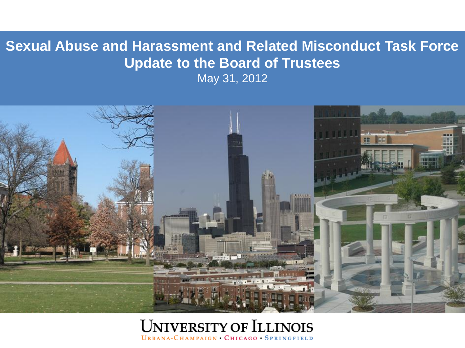### **Sexual Abuse and Harassment and Related Misconduct Task Force Update to the Board of Trustees**

May 31, 2012



#### **UNIVERSITY OF ILLINOIS** URBANA-CHAMPAIGN CHICAGO SPRINGFIELD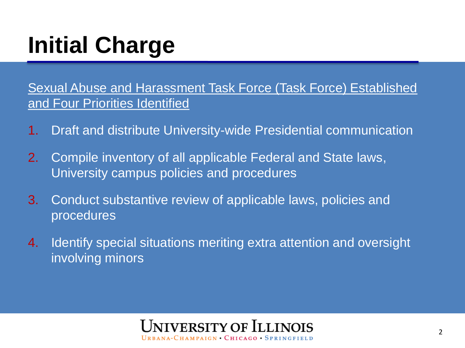# **Initial Charge**

Sexual Abuse and Harassment Task Force (Task Force) Established and Four Priorities Identified

- 1. Draft and distribute University-wide Presidential communication
- 2. Compile inventory of all applicable Federal and State laws, University campus policies and procedures
- 3. Conduct substantive review of applicable laws, policies and procedures
- 4. Identify special situations meriting extra attention and oversight involving minors

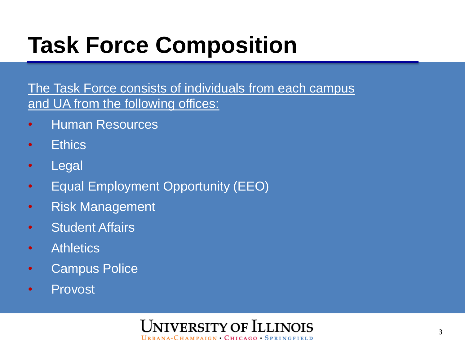# **Task Force Composition**

The Task Force consists of individuals from each campus and UA from the following offices:

- Human Resources
- Ethics
- Legal
- Equal Employment Opportunity (EEO)
- Risk Management
- Student Affairs
- **Athletics**
- Campus Police
- Provost

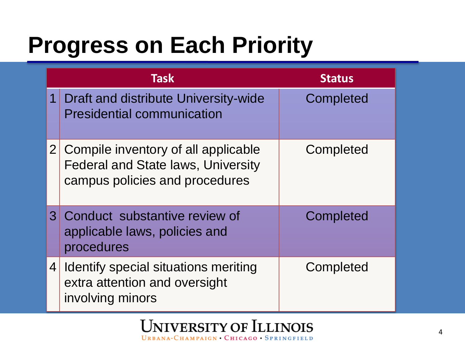### **Progress on Each Priority**

| <b>Task</b>    |                                                                                                                    | <b>Status</b>    |
|----------------|--------------------------------------------------------------------------------------------------------------------|------------------|
| 1              | Draft and distribute University-wide<br><b>Presidential communication</b>                                          | Completed        |
| 2 <sup>1</sup> | Compile inventory of all applicable<br><b>Federal and State laws, University</b><br>campus policies and procedures | Completed        |
|                | 3 Conduct substantive review of<br>applicable laws, policies and<br>procedures                                     | <b>Completed</b> |
| 4              | Identify special situations meriting<br>extra attention and oversight<br>involving minors                          | Completed        |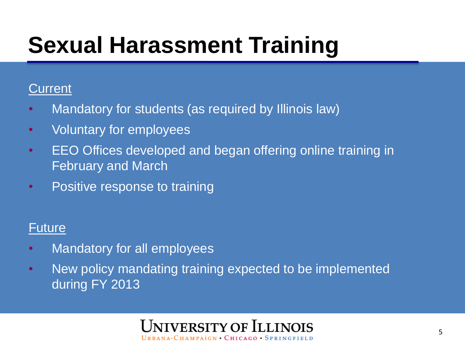# **Sexual Harassment Training**

#### **Current**

- Mandatory for students (as required by Illinois law)
- Voluntary for employees
- EEO Offices developed and began offering online training in February and March
- Positive response to training

### Future

- Mandatory for all employees
- New policy mandating training expected to be implemented during FY 2013

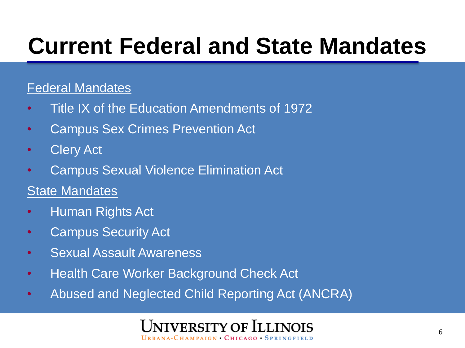### **Current Federal and State Mandates**

#### Federal Mandates

- Title IX of the Education Amendments of 1972
- Campus Sex Crimes Prevention Act
- Clery Act
- Campus Sexual Violence Elimination Act
- State Mandates
- Human Rights Act
- Campus Security Act
- Sexual Assault Awareness
- Health Care Worker Background Check Act
- Abused and Neglected Child Reporting Act (ANCRA)

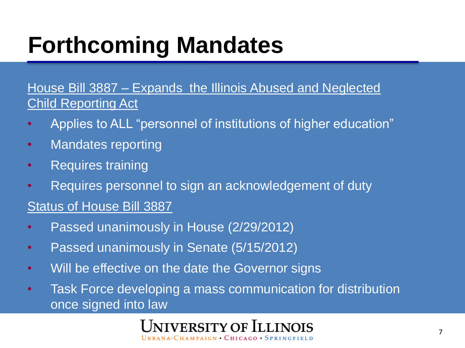## **Forthcoming Mandates**

House Bill 3887 – Expands the Illinois Abused and Neglected Child Reporting Act

- Applies to ALL "personnel of institutions of higher education"
- Mandates reporting
- Requires training
- Requires personnel to sign an acknowledgement of duty

#### Status of House Bill 3887

- Passed unanimously in House (2/29/2012)
- Passed unanimously in Senate (5/15/2012)
- Will be effective on the date the Governor signs
- Task Force developing a mass communication for distribution once signed into law